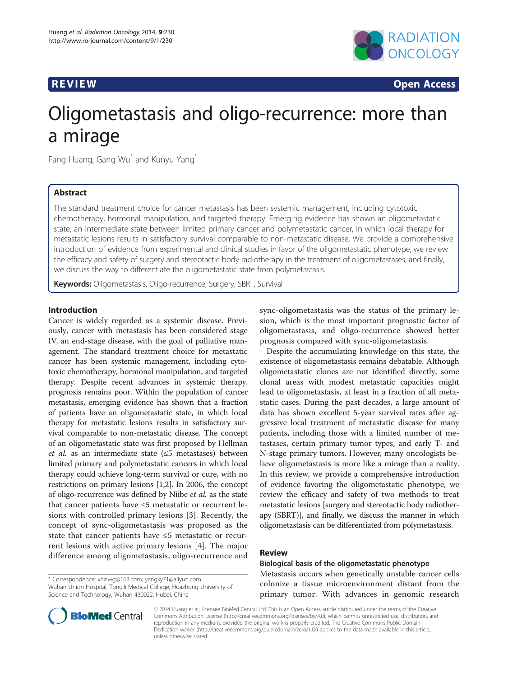

**REVIEW CONSTRUCTION CONSTRUCTION CONSTRUCTS** 

# Oligometastasis and oligo-recurrence: more than a mirage

Fang Huang, Gang Wu<sup>\*</sup> and Kunyu Yang<sup>\*</sup>

# Abstract

The standard treatment choice for cancer metastasis has been systemic management, including cytotoxic chemotherapy, hormonal manipulation, and targeted therapy. Emerging evidence has shown an oligometastatic state, an intermediate state between limited primary cancer and polymetastatic cancer, in which local therapy for metastatic lesions results in satisfactory survival comparable to non-metastatic disease. We provide a comprehensive introduction of evidence from experimental and clinical studies in favor of the oligometastatic phenotype, we review the efficacy and safety of surgery and stereotactic body radiotherapy in the treatment of oligometastases, and finally, we discuss the way to differentiate the oligometastatic state from polymetastasis.

Keywords: Oligometastasis, Oligo-recurrence, Surgery, SBRT, Survival

# Introduction

Cancer is widely regarded as a systemic disease. Previously, cancer with metastasis has been considered stage IV, an end-stage disease, with the goal of palliative management. The standard treatment choice for metastatic cancer has been systemic management, including cytotoxic chemotherapy, hormonal manipulation, and targeted therapy. Despite recent advances in systemic therapy, prognosis remains poor. Within the population of cancer metastasis, emerging evidence has shown that a fraction of patients have an oligometastatic state, in which local therapy for metastatic lesions results in satisfactory survival comparable to non-metastatic disease. The concept of an oligometastatic state was first proposed by Hellman et al. as an intermediate state ( $\leq 5$  metastases) between limited primary and polymetastatic cancers in which local therapy could achieve long-term survival or cure, with no restrictions on primary lesions [\[1,2](#page-6-0)]. In 2006, the concept of oligo-recurrence was defined by Niibe et al. as the state that cancer patients have ≤5 metastatic or recurrent lesions with controlled primary lesions [[3\]](#page-6-0). Recently, the concept of sync-oligometastasis was proposed as the state that cancer patients have ≤5 metastatic or recurrent lesions with active primary lesions [[4\]](#page-6-0). The major difference among oligometastasis, oligo-recurrence and

\* Correspondence: [xhzlwg@163.com;](mailto:xhzlwg@163.com) [yangky71@aliyun.com](mailto:yangky71@aliyun.com) Wuhan Union Hospital, TongJi Medical College, Huazhong University of Science and Technology, Wuhan 430022, Hubei, China

sync-oligometastasis was the status of the primary lesion, which is the most important prognostic factor of oligometastasis, and oligo-recurrence showed better prognosis compared with sync-oligometastasis.

Despite the accumulating knowledge on this state, the existence of oligometastasis remains debatable. Although oligometastatic clones are not identified directly, some clonal areas with modest metastatic capacities might lead to oligometastasis, at least in a fraction of all metastatic cases. During the past decades, a large amount of data has shown excellent 5-year survival rates after aggressive local treatment of metastatic disease for many patients, including those with a limited number of metastases, certain primary tumor types, and early T- and N-stage primary tumors. However, many oncologists believe oligometastasis is more like a mirage than a reality. In this review, we provide a comprehensive introduction of evidence favoring the oligometastatic phenotype, we review the efficacy and safety of two methods to treat metastatic lesions [surgery and stereotactic body radiotherapy (SBRT)], and finally, we discuss the manner in which oligometastasis can be differentiated from polymetastasis.

#### Review

Biological basis of the oligometastatic phenotype Metastasis occurs when genetically unstable cancer cells colonize a tissue microenvironment distant from the primary tumor. With advances in genomic research



© 2014 Huang et al.; licensee BioMed Central Ltd. This is an Open Access article distributed under the terms of the Creative Commons Attribution License [\(http://creativecommons.org/licenses/by/4.0\)](http://creativecommons.org/licenses/by/4.0), which permits unrestricted use, distribution, and reproduction in any medium, provided the original work is properly credited. The Creative Commons Public Domain Dedication waiver [\(http://creativecommons.org/publicdomain/zero/1.0/](http://creativecommons.org/publicdomain/zero/1.0/)) applies to the data made available in this article, unless otherwise stated.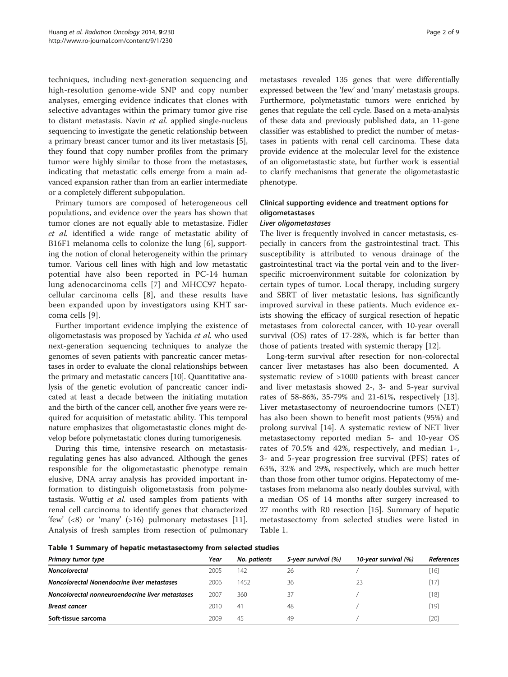techniques, including next-generation sequencing and high-resolution genome-wide SNP and copy number analyses, emerging evidence indicates that clones with selective advantages within the primary tumor give rise to distant metastasis. Navin et al. applied single-nucleus sequencing to investigate the genetic relationship between a primary breast cancer tumor and its liver metastasis [[5](#page-6-0)], they found that copy number profiles from the primary tumor were highly similar to those from the metastases, indicating that metastatic cells emerge from a main advanced expansion rather than from an earlier intermediate or a completely different subpopulation.

Primary tumors are composed of heterogeneous cell populations, and evidence over the years has shown that tumor clones are not equally able to metastasize. Fidler et al. identified a wide range of metastatic ability of B16F1 melanoma cells to colonize the lung [\[6](#page-6-0)], supporting the notion of clonal heterogeneity within the primary tumor. Various cell lines with high and low metastatic potential have also been reported in PC-14 human lung adenocarcinoma cells [[7](#page-6-0)] and MHCC97 hepatocellular carcinoma cells [[8\]](#page-6-0), and these results have been expanded upon by investigators using KHT sarcoma cells [[9](#page-6-0)].

Further important evidence implying the existence of oligometastasis was proposed by Yachida et al. who used next-generation sequencing techniques to analyze the genomes of seven patients with pancreatic cancer metastases in order to evaluate the clonal relationships between the primary and metastatic cancers [\[10\]](#page-6-0). Quantitative analysis of the genetic evolution of pancreatic cancer indicated at least a decade between the initiating mutation and the birth of the cancer cell, another five years were required for acquisition of metastatic ability. This temporal nature emphasizes that oligometastastic clones might develop before polymetastatic clones during tumorigenesis.

During this time, intensive research on metastasisregulating genes has also advanced. Although the genes responsible for the oligometastastic phenotype remain elusive, DNA array analysis has provided important information to distinguish oligometastasis from polymetastasis. Wuttig et al. used samples from patients with renal cell carcinoma to identify genes that characterized 'few'  $(\leq 8)$  or 'many'  $(>16)$  pulmonary metastases [\[11](#page-6-0)]. Analysis of fresh samples from resection of pulmonary metastases revealed 135 genes that were differentially expressed between the 'few' and 'many' metastasis groups. Furthermore, polymetastatic tumors were enriched by genes that regulate the cell cycle. Based on a meta-analysis of these data and previously published data, an 11-gene classifier was established to predict the number of metastases in patients with renal cell carcinoma. These data provide evidence at the molecular level for the existence of an oligometastastic state, but further work is essential to clarify mechanisms that generate the oligometastastic phenotype.

# Clinical supporting evidence and treatment options for oligometastases

#### Liver oligometastases

The liver is frequently involved in cancer metastasis, especially in cancers from the gastrointestinal tract. This susceptibility is attributed to venous drainage of the gastrointestinal tract via the portal vein and to the liverspecific microenvironment suitable for colonization by certain types of tumor. Local therapy, including surgery and SBRT of liver metastatic lesions, has significantly improved survival in these patients. Much evidence exists showing the efficacy of surgical resection of hepatic metastases from colorectal cancer, with 10-year overall survival (OS) rates of 17-28%, which is far better than those of patients treated with systemic therapy [[12\]](#page-6-0).

Long-term survival after resection for non-colorectal cancer liver metastases has also been documented. A systematic review of >1000 patients with breast cancer and liver metastasis showed 2-, 3- and 5-year survival rates of 58-86%, 35-79% and 21-61%, respectively [\[13](#page-6-0)]. Liver metastasectomy of neuroendocrine tumors (NET) has also been shown to benefit most patients (95%) and prolong survival [\[14\]](#page-6-0). A systematic review of NET liver metastasectomy reported median 5- and 10-year OS rates of 70.5% and 42%, respectively, and median 1-, 3- and 5-year progression free survival (PFS) rates of 63%, 32% and 29%, respectively, which are much better than those from other tumor origins. Hepatectomy of metastases from melanoma also nearly doubles survival, with a median OS of 14 months after surgery increased to 27 months with R0 resection [[15\]](#page-6-0). Summary of hepatic metastasectomy from selected studies were listed in Table 1.

Table 1 Summary of hepatic metastasectomy from selected studies

| Primary tumor type                               | Year | No. patients | 5-year survival (%) | 10-year survival (%) | References |
|--------------------------------------------------|------|--------------|---------------------|----------------------|------------|
| <b>Noncolorectal</b>                             | 2005 | 142          | 26                  |                      | $[16]$     |
| Noncolorectal Nonendocrine liver metastases      | 2006 | 1452         | 36                  | 23                   | $[17]$     |
| Noncolorectal nonneuroendocrine liver metastases | 2007 | 360          | 37                  |                      | $[18]$     |
| <b>Breast cancer</b>                             | 2010 | 41           | 48                  |                      | [19]       |
| Soft-tissue sarcoma                              | 2009 | 45           | 49                  |                      | $[20]$     |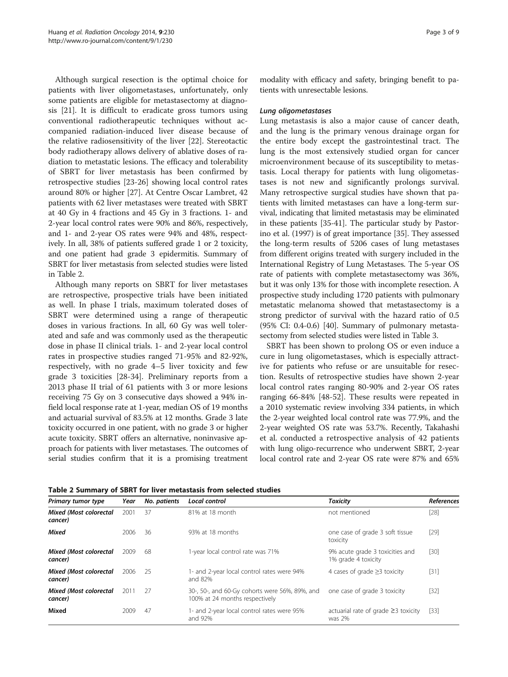Although surgical resection is the optimal choice for patients with liver oligometastases, unfortunately, only some patients are eligible for metastasectomy at diagnosis [[21\]](#page-6-0). It is difficult to eradicate gross tumors using conventional radiotherapeutic techniques without accompanied radiation-induced liver disease because of the relative radiosensitivity of the liver [[22\]](#page-6-0). Stereotactic body radiotherapy allows delivery of ablative doses of radiation to metastatic lesions. The efficacy and tolerability of SBRT for liver metastasis has been confirmed by retrospective studies [[23](#page-6-0)[-26](#page-7-0)] showing local control rates around 80% or higher [\[27](#page-7-0)]. At Centre Oscar Lambret, 42 patients with 62 liver metastases were treated with SBRT at 40 Gy in 4 fractions and 45 Gy in 3 fractions. 1- and 2-year local control rates were 90% and 86%, respectively, and 1- and 2-year OS rates were 94% and 48%, respectively. In all, 38% of patients suffered grade 1 or 2 toxicity, and one patient had grade 3 epidermitis. Summary of SBRT for liver metastasis from selected studies were listed in Table 2.

Although many reports on SBRT for liver metastases are retrospective, prospective trials have been initiated as well. In phase I trials, maximum tolerated doses of SBRT were determined using a range of therapeutic doses in various fractions. In all, 60 Gy was well tolerated and safe and was commonly used as the therapeutic dose in phase II clinical trials. 1- and 2-year local control rates in prospective studies ranged 71-95% and 82-92%, respectively, with no grade 4–5 liver toxicity and few grade 3 toxicities [[28-34\]](#page-7-0). Preliminary reports from a 2013 phase II trial of 61 patients with 3 or more lesions receiving 75 Gy on 3 consecutive days showed a 94% infield local response rate at 1-year, median OS of 19 months and actuarial survival of 83.5% at 12 months. Grade 3 late toxicity occurred in one patient, with no grade 3 or higher acute toxicity. SBRT offers an alternative, noninvasive approach for patients with liver metastases. The outcomes of serial studies confirm that it is a promising treatment modality with efficacy and safety, bringing benefit to patients with unresectable lesions.

#### Lung oligometastases

Lung metastasis is also a major cause of cancer death, and the lung is the primary venous drainage organ for the entire body except the gastrointestinal tract. The lung is the most extensively studied organ for cancer microenvironment because of its susceptibility to metastasis. Local therapy for patients with lung oligometastases is not new and significantly prolongs survival. Many retrospective surgical studies have shown that patients with limited metastases can have a long-term survival, indicating that limited metastasis may be eliminated in these patients [[35](#page-7-0)-[41](#page-7-0)]. The particular study by Pastorino et al. (1997) is of great importance [[35](#page-7-0)]. They assessed the long-term results of 5206 cases of lung metastases from different origins treated with surgery included in the International Registry of Lung Metastases. The 5-year OS rate of patients with complete metastasectomy was 36%, but it was only 13% for those with incomplete resection. A prospective study including 1720 patients with pulmonary metastatic melanoma showed that metastasectomy is a strong predictor of survival with the hazard ratio of 0.5 (95% CI: 0.4-0.6) [\[40\]](#page-7-0). Summary of pulmonary metastasectomy from selected studies were listed in Table [3](#page-3-0).

SBRT has been shown to prolong OS or even induce a cure in lung oligometastases, which is especially attractive for patients who refuse or are unsuitable for resection. Results of retrospective studies have shown 2-year local control rates ranging 80-90% and 2-year OS rates ranging 66-84% [[48-52](#page-7-0)]. These results were repeated in a 2010 systematic review involving 334 patients, in which the 2-year weighted local control rate was 77.9%, and the 2-year weighted OS rate was 53.7%. Recently, Takahashi et al. conducted a retrospective analysis of 42 patients with lung oligo-recurrence who underwent SBRT, 2-year local control rate and 2-year OS rate were 87% and 65%

| Primary tumor type                        | Year | No. patients | Local control                                                                    | <b>Toxicity</b>                                        | References |
|-------------------------------------------|------|--------------|----------------------------------------------------------------------------------|--------------------------------------------------------|------------|
| <b>Mixed (Most colorectal</b><br>cancer)  | 2001 | 37           | 81% at 18 month                                                                  | not mentioned                                          | $[28]$     |
| <b>Mixed</b>                              | 2006 | 36           | 93% at 18 months                                                                 | one case of grade 3 soft tissue<br>toxicity            | $[29]$     |
| <b>Mixed (Most colorectal)</b><br>cancer) | 2009 | 68           | 1-year local control rate was 71%                                                | 9% acute grade 3 toxicities and<br>1% grade 4 toxicity | $[30]$     |
| <b>Mixed (Most colorectal</b><br>cancer)  | 2006 | -25          | 1- and 2-year local control rates were 94%<br>and 82%                            | 4 cases of grade $\geq$ 3 toxicity                     | $[31]$     |
| <b>Mixed (Most colorectal</b><br>cancer)  | 2011 | 27           | 30-, 50-, and 60-Gy cohorts were 56%, 89%, and<br>100% at 24 months respectively | one case of grade 3 toxicity                           | $[32]$     |
| Mixed                                     | 2009 | 47           | 1- and 2-year local control rates were 95%<br>and 92%                            | actuarial rate of grade $\geq$ 3 toxicity<br>was 2%    | $[33]$     |

Table 2 Summary of SBRT for liver metastasis from selected studies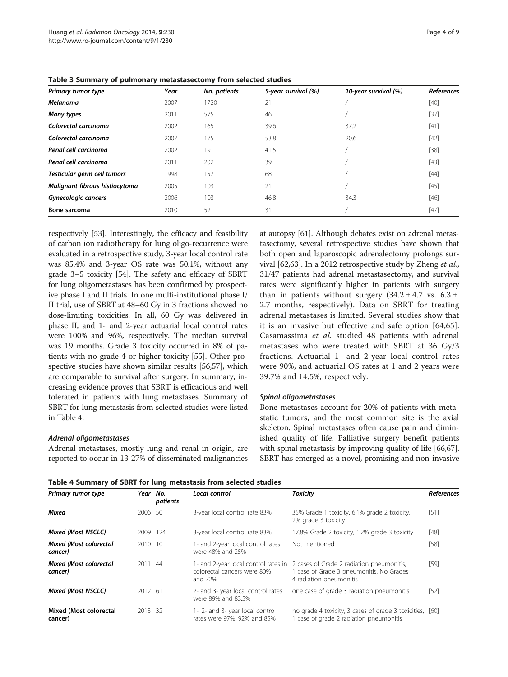| Primary tumor type             | Year | No. patients | 5-year survival (%) | 10-year survival (%) | <b>References</b> |
|--------------------------------|------|--------------|---------------------|----------------------|-------------------|
| <b>Melanoma</b>                | 2007 | 1720         | 21                  |                      | [40]              |
| Many types                     | 2011 | 575          | 46                  |                      | [37]              |
| Colorectal carcinoma           | 2002 | 165          | 39.6                | 37.2                 | $[41]$            |
| Colorectal carcinoma           | 2007 | 175          | 53.8                | 20.6                 | $[42]$            |
| Renal cell carcinoma           | 2002 | 191          | 41.5                |                      | $[38]$            |
| Renal cell carcinoma           | 2011 | 202          | 39                  |                      | $[43]$            |
| Testicular germ cell tumors    | 1998 | 157          | 68                  |                      | $[44]$            |
| Malignant fibrous histiocytoma | 2005 | 103          | 21                  |                      | $[45]$            |
| Gynecologic cancers            | 2006 | 103          | 46.8                | 34.3                 | $[46]$            |
| Bone sarcoma                   | 2010 | 52           | 31                  |                      | $[47]$            |

<span id="page-3-0"></span>Table 3 Summary of pulmonary metastasectomy from selected studies

respectively [\[53\]](#page-7-0). Interestingly, the efficacy and feasibility of carbon ion radiotherapy for lung oligo-recurrence were evaluated in a retrospective study, 3-year local control rate was 85.4% and 3-year OS rate was 50.1%, without any grade 3–5 toxicity [[54](#page-7-0)]. The safety and efficacy of SBRT for lung oligometastases has been confirmed by prospective phase I and II trials. In one multi-institutional phase I/ II trial, use of SBRT at 48–60 Gy in 3 fractions showed no dose-limiting toxicities. In all, 60 Gy was delivered in phase II, and 1- and 2-year actuarial local control rates were 100% and 96%, respectively. The median survival was 19 months. Grade 3 toxicity occurred in 8% of patients with no grade 4 or higher toxicity [[55](#page-7-0)]. Other prospective studies have shown similar results [[56,57\]](#page-7-0), which are comparable to survival after surgery. In summary, increasing evidence proves that SBRT is efficacious and well tolerated in patients with lung metastases. Summary of SBRT for lung metastasis from selected studies were listed in Table 4.

#### Adrenal oligometastases

Adrenal metastases, mostly lung and renal in origin, are reported to occur in 13-27% of disseminated malignancies

at autopsy [\[61\]](#page-7-0). Although debates exist on adrenal metastasectomy, several retrospective studies have shown that both open and laparoscopic adrenalectomy prolongs sur-vival [[62,63\]](#page-7-0). In a 2012 retrospective study by Zheng et al., 31/47 patients had adrenal metastasectomy, and survival rates were significantly higher in patients with surgery than in patients without surgery  $(34.2 \pm 4.7 \text{ vs. } 6.3 \pm 1)$ 2.7 months, respectively). Data on SBRT for treating adrenal metastases is limited. Several studies show that it is an invasive but effective and safe option [[64,65](#page-7-0)]. Casamassima et al. studied 48 patients with adrenal metastases who were treated with SBRT at 36 Gy/3 fractions. Actuarial 1- and 2-year local control rates were 90%, and actuarial OS rates at 1 and 2 years were 39.7% and 14.5%, respectively.

#### Spinal oligometastases

Bone metastases account for 20% of patients with metastatic tumors, and the most common site is the axial skeleton. Spinal metastases often cause pain and diminished quality of life. Palliative surgery benefit patients with spinal metastasis by improving quality of life [\[66,](#page-7-0)[67](#page-8-0)]. SBRT has emerged as a novel, promising and non-invasive

Table 4 Summary of SBRT for lung metastasis from selected studies

| Primary tumor type                       | Year No. | patients | Local control                                                          | <b>Toxicity</b>                                                                                                                                     | References |
|------------------------------------------|----------|----------|------------------------------------------------------------------------|-----------------------------------------------------------------------------------------------------------------------------------------------------|------------|
| <b>Mixed</b>                             | 2006 50  |          | 3-year local control rate 83%                                          | 35% Grade 1 toxicity, 6.1% grade 2 toxicity,<br>2% grade 3 toxicity                                                                                 | [51]       |
| <b>Mixed (Most NSCLC)</b>                | 2009     | 124      | 3-year local control rate 83%                                          | 17.8% Grade 2 toxicity, 1.2% grade 3 toxicity                                                                                                       | [48]       |
| <b>Mixed (Most colorectal</b><br>cancer) | 2010 10  |          | 1- and 2-year local control rates<br>Not mentioned<br>were 48% and 25% |                                                                                                                                                     | $[58]$     |
| <b>Mixed (Most colorectal</b><br>cancer) | 2011 44  |          | colorectal cancers were 80%<br>and 72%                                 | 1- and 2-year local control rates in 2 cases of Grade 2 radiation pneumonitis,<br>case of Grade 3 pneumonitis, No Grades<br>4 radiation pneumonitis | $[59]$     |
| Mixed (Most NSCLC)                       | 2012 61  |          | 2- and 3- year local control rates<br>were 89% and 83.5%               | one case of grade 3 radiation pneumonitis                                                                                                           | $[52]$     |
| Mixed (Most colorectal<br>cancer)        | 2013 32  |          | 1-, 2- and 3- year local control<br>rates were 97%, 92% and 85%        | no grade 4 toxicity, 3 cases of grade 3 toxicities, [60]<br>case of grade 2 radiation pneumonitis                                                   |            |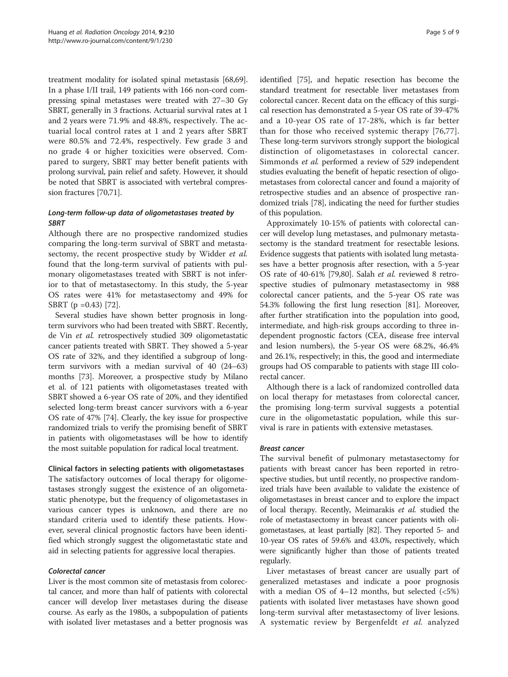treatment modality for isolated spinal metastasis [\[68,69](#page-8-0)]. In a phase I/II trail, 149 patients with 166 non-cord compressing spinal metastases were treated with 27–30 Gy SBRT, generally in 3 fractions. Actuarial survival rates at 1 and 2 years were 71.9% and 48.8%, respectively. The actuarial local control rates at 1 and 2 years after SBRT were 80.5% and 72.4%, respectively. Few grade 3 and no grade 4 or higher toxicities were observed. Compared to surgery, SBRT may better benefit patients with prolong survival, pain relief and safety. However, it should be noted that SBRT is associated with vertebral compression fractures [\[70,71\]](#page-8-0).

# Long-term follow-up data of oligometastases treated by **SBRT**

Although there are no prospective randomized studies comparing the long-term survival of SBRT and metastasectomy, the recent prospective study by Widder et al. found that the long-term survival of patients with pulmonary oligometastases treated with SBRT is not inferior to that of metastasectomy. In this study, the 5-year OS rates were 41% for metastasectomy and 49% for SBRT (p =0.43) [\[72\]](#page-8-0).

Several studies have shown better prognosis in longterm survivors who had been treated with SBRT. Recently, de Vin et al. retrospectively studied 309 oligometastatic cancer patients treated with SBRT. They showed a 5-year OS rate of 32%, and they identified a subgroup of longterm survivors with a median survival of 40 (24–63) months [\[73\]](#page-8-0). Moreover, a prospective study by Milano et al. of 121 patients with oligometastases treated with SBRT showed a 6-year OS rate of 20%, and they identified selected long-term breast cancer survivors with a 6-year OS rate of 47% [\[74\]](#page-8-0). Clearly, the key issue for prospective randomized trials to verify the promising benefit of SBRT in patients with oligometastases will be how to identify the most suitable population for radical local treatment.

# Clinical factors in selecting patients with oligometastases

The satisfactory outcomes of local therapy for oligometastases strongly suggest the existence of an oligometastatic phenotype, but the frequency of oligometastases in various cancer types is unknown, and there are no standard criteria used to identify these patients. However, several clinical prognostic factors have been identified which strongly suggest the oligometastatic state and aid in selecting patients for aggressive local therapies.

# Colorectal cancer

Liver is the most common site of metastasis from colorectal cancer, and more than half of patients with colorectal cancer will develop liver metastases during the disease course. As early as the 1980s, a subpopulation of patients with isolated liver metastases and a better prognosis was identified [\[75\]](#page-8-0), and hepatic resection has become the standard treatment for resectable liver metastases from colorectal cancer. Recent data on the efficacy of this surgical resection has demonstrated a 5-year OS rate of 39-47% and a 10-year OS rate of 17-28%, which is far better than for those who received systemic therapy [[76,77](#page-8-0)]. These long-term survivors strongly support the biological distinction of oligometastases in colorectal cancer. Simmonds et al. performed a review of 529 independent studies evaluating the benefit of hepatic resection of oligometastases from colorectal cancer and found a majority of retrospective studies and an absence of prospective randomized trials [[78](#page-8-0)], indicating the need for further studies of this population.

Approximately 10-15% of patients with colorectal cancer will develop lung metastases, and pulmonary metastasectomy is the standard treatment for resectable lesions. Evidence suggests that patients with isolated lung metastases have a better prognosis after resection, with a 5-year OS rate of 40-61% [[79,80](#page-8-0)]. Salah et al. reviewed 8 retrospective studies of pulmonary metastasectomy in 988 colorectal cancer patients, and the 5-year OS rate was 54.3% following the first lung resection [\[81](#page-8-0)]. Moreover, after further stratification into the population into good, intermediate, and high-risk groups according to three independent prognostic factors (CEA, disease free interval and lesion numbers), the 5-year OS were 68.2%, 46.4% and 26.1%, respectively; in this, the good and intermediate groups had OS comparable to patients with stage III colorectal cancer.

Although there is a lack of randomized controlled data on local therapy for metastases from colorectal cancer, the promising long-term survival suggests a potential cure in the oligometastatic population, while this survival is rare in patients with extensive metastases.

# Breast cancer

The survival benefit of pulmonary metastasectomy for patients with breast cancer has been reported in retrospective studies, but until recently, no prospective randomized trials have been available to validate the existence of oligometastases in breast cancer and to explore the impact of local therapy. Recently, Meimarakis et al. studied the role of metastasectomy in breast cancer patients with oligometastases, at least partially [[82](#page-8-0)]. They reported 5- and 10-year OS rates of 59.6% and 43.0%, respectively, which were significantly higher than those of patients treated regularly.

Liver metastases of breast cancer are usually part of generalized metastases and indicate a poor prognosis with a median OS of  $4-12$  months, but selected  $\left( < 5\% \right)$ patients with isolated liver metastases have shown good long-term survival after metastasectomy of liver lesions. A systematic review by Bergenfeldt et al. analyzed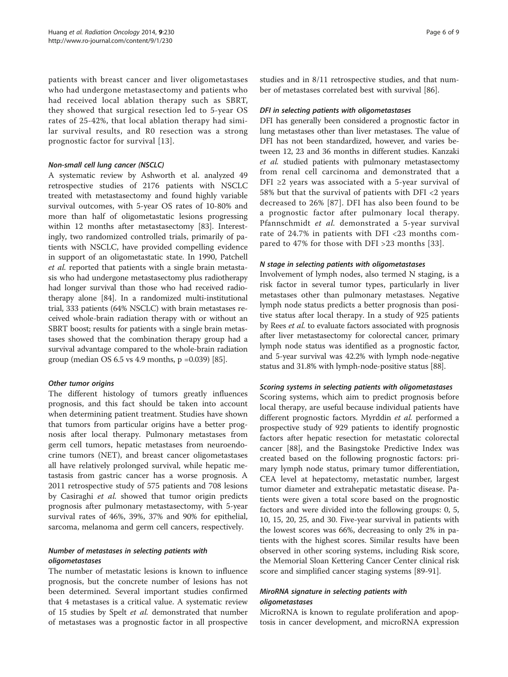patients with breast cancer and liver oligometastases who had undergone metastasectomy and patients who had received local ablation therapy such as SBRT, they showed that surgical resection led to 5-year OS rates of 25-42%, that local ablation therapy had similar survival results, and R0 resection was a strong prognostic factor for survival [[13\]](#page-6-0).

#### Non-small cell lung cancer (NSCLC)

A systematic review by Ashworth et al. analyzed 49 retrospective studies of 2176 patients with NSCLC treated with metastasectomy and found highly variable survival outcomes, with 5-year OS rates of 10-80% and more than half of oligometastatic lesions progressing within 12 months after metastasectomy [[83](#page-8-0)]. Interestingly, two randomized controlled trials, primarily of patients with NSCLC, have provided compelling evidence in support of an oligometastatic state. In 1990, Patchell et al. reported that patients with a single brain metastasis who had undergone metastasectomy plus radiotherapy had longer survival than those who had received radiotherapy alone [[84](#page-8-0)]. In a randomized multi-institutional trial, 333 patients (64% NSCLC) with brain metastases received whole-brain radiation therapy with or without an SBRT boost; results for patients with a single brain metastases showed that the combination therapy group had a survival advantage compared to the whole-brain radiation group (median OS 6.5 vs 4.9 months, p =0.039) [[85](#page-8-0)].

# Other tumor origins

The different histology of tumors greatly influences prognosis, and this fact should be taken into account when determining patient treatment. Studies have shown that tumors from particular origins have a better prognosis after local therapy. Pulmonary metastases from germ cell tumors, hepatic metastases from neuroendocrine tumors (NET), and breast cancer oligometastases all have relatively prolonged survival, while hepatic metastasis from gastric cancer has a worse prognosis. A 2011 retrospective study of 575 patients and 708 lesions by Casiraghi et al. showed that tumor origin predicts prognosis after pulmonary metastasectomy, with 5-year survival rates of 46%, 39%, 37% and 90% for epithelial, sarcoma, melanoma and germ cell cancers, respectively.

# Number of metastases in selecting patients with oligometastases

The number of metastatic lesions is known to influence prognosis, but the concrete number of lesions has not been determined. Several important studies confirmed that 4 metastases is a critical value. A systematic review of 15 studies by Spelt et al. demonstrated that number of metastases was a prognostic factor in all prospective

studies and in 8/11 retrospective studies, and that number of metastases correlated best with survival [\[86](#page-8-0)].

# DFI in selecting patients with oligometastases

DFI has generally been considered a prognostic factor in lung metastases other than liver metastases. The value of DFI has not been standardized, however, and varies between 12, 23 and 36 months in different studies. Kanzaki et al. studied patients with pulmonary metastasectomy from renal cell carcinoma and demonstrated that a DFI  $\geq$ 2 years was associated with a 5-year survival of 58% but that the survival of patients with DFI <2 years decreased to 26% [[87](#page-8-0)]. DFI has also been found to be a prognostic factor after pulmonary local therapy. Pfannschmidt et al. demonstrated a 5-year survival rate of 24.7% in patients with DFI <23 months compared to 47% for those with DFI >23 months [[33](#page-7-0)].

# N stage in selecting patients with oligometastases

Involvement of lymph nodes, also termed N staging, is a risk factor in several tumor types, particularly in liver metastases other than pulmonary metastases. Negative lymph node status predicts a better prognosis than positive status after local therapy. In a study of 925 patients by Rees et al. to evaluate factors associated with prognosis after liver metastasectomy for colorectal cancer, primary lymph node status was identified as a prognostic factor, and 5-year survival was 42.2% with lymph node-negative status and 31.8% with lymph-node-positive status [\[88\]](#page-8-0).

# Scoring systems in selecting patients with oligometastases

Scoring systems, which aim to predict prognosis before local therapy, are useful because individual patients have different prognostic factors. Myrddin et al. performed a prospective study of 929 patients to identify prognostic factors after hepatic resection for metastatic colorectal cancer [\[88](#page-8-0)], and the Basingstoke Predictive Index was created based on the following prognostic factors: primary lymph node status, primary tumor differentiation, CEA level at hepatectomy, metastatic number, largest tumor diameter and extrahepatic metastatic disease. Patients were given a total score based on the prognostic factors and were divided into the following groups: 0, 5, 10, 15, 20, 25, and 30. Five-year survival in patients with the lowest scores was 66%, decreasing to only 2% in patients with the highest scores. Similar results have been observed in other scoring systems, including Risk score, the Memorial Sloan Kettering Cancer Center clinical risk score and simplified cancer staging systems [[89-91\]](#page-8-0).

# MiroRNA signature in selecting patients with oligometastases

MicroRNA is known to regulate proliferation and apoptosis in cancer development, and microRNA expression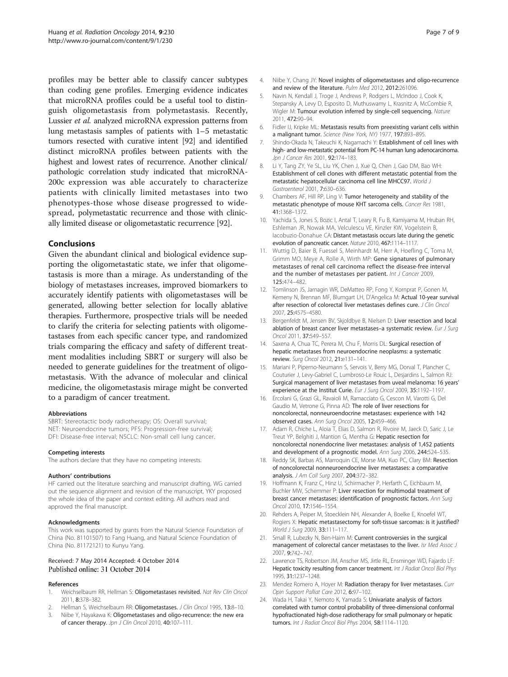<span id="page-6-0"></span>profiles may be better able to classify cancer subtypes than coding gene profiles. Emerging evidence indicates that microRNA profiles could be a useful tool to distinguish oligometastasis from polymetastasis. Recently, Lussier et al. analyzed microRNA expression patterns from lung metastasis samples of patients with 1–5 metastatic tumors resected with curative intent [[92](#page-8-0)] and identified distinct microRNA profiles between patients with the highest and lowest rates of recurrence. Another clinical/ pathologic correlation study indicated that microRNA-200c expression was able accurately to characterize patients with clinically limited metastases into two phenotypes-those whose disease progressed to widespread, polymetastatic recurrence and those with clinically limited disease or oligometastatic recurrence [\[92\]](#page-8-0).

# Conclusions

Given the abundant clinical and biological evidence supporting the oligometastatic state, we infer that oligometastasis is more than a mirage. As understanding of the biology of metastases increases, improved biomarkers to accurately identify patients with oligometastases will be generated, allowing better selection for locally ablative therapies. Furthermore, prospective trials will be needed to clarify the criteria for selecting patients with oligometastases from each specific cancer type, and randomized trials comparing the efficacy and safety of different treatment modalities including SBRT or surgery will also be needed to generate guidelines for the treatment of oligometastasis. With the advance of molecular and clinical medicine, the oligometastasis mirage might be converted to a paradigm of cancer treatment.

#### Abbreviations

SBRT: Stereotactic body radiotherapy; OS: Overall survival; NET: Neuroendocrine tumors; PFS: Progression-free survival; DFI: Disease-free interval; NSCLC: Non-small cell lung cancer.

#### Competing interests

The authors declare that they have no competing interests.

#### Authors' contributions

HF carried out the literature searching and manuscript drafting, WG carried out the sequence alignment and revision of the manuscript, YKY proposed the whole idea of the paper and context editing. All authors read and approved the final manuscript.

#### Acknowledgments

This work was supported by grants from the Natural Science Foundation of China (No. 81101507) to Fang Huang, and Natural Science Foundation of China (No. 81172121) to Kunyu Yang.

#### Received: 7 May 2014 Accepted: 4 October 2014 Published online: 31 October 2014

#### References

- 1. Weichselbaum RR, Hellman S: Oligometastases revisited. Nat Rev Clin Oncol 2011, 8:378–382.
- Hellman S, Weichselbaum RR: Oligometastases. J Clin Oncol 1995, 13:8-10.
- 3. Niibe Y, Hayakawa K: Oligometastases and oligo-recurrence: the new era of cancer therapy. Jpn J Clin Oncol 2010, 40:107-111.
- 4. Niibe Y, Chang JY: Novel insights of oligometastases and oligo-recurrence and review of the literature. Pulm Med 2012, 2012:261096.
- 5. Navin N, Kendall J, Troge J, Andrews P, Rodgers L, McIndoo J, Cook K, Stepansky A, Levy D, Esposito D, Muthuswamy L, Krasnitz A, McCombie R, Wigler M: Tumour evolution inferred by single-cell sequencing. Nature 2011, 472:90–94.
- 6. Fidler IJ, Kripke ML: Metastasis results from preexisting variant cells within a malignant tumor. Science (New York, NY) 1977, 197:893-895.
- 7. Shindo-Okada N, Takeuchi K, Nagamachi Y: Establishment of cell lines with high- and low-metastatic potential from PC-14 human lung adenocarcinoma. Jpn J Cancer Res 2001, 92:174–183.
- 8. Li Y, Tang ZY, Ye SL, Liu YK, Chen J, Xue Q, Chen J, Gao DM, Bao WH: Establishment of cell clones with different metastatic potential from the metastatic hepatocellular carcinoma cell line MHCC97. World J Gastroenterol 2001, 7:630–636.
- Chambers AF, Hill RP, Ling V: Tumor heterogeneity and stability of the metastatic phenotype of mouse KHT sarcoma cells. Cancer Res 1981, 41:1368–1372.
- 10. Yachida S, Jones S, Bozic I, Antal T, Leary R, Fu B, Kamiyama M, Hruban RH, Eshleman JR, Nowak MA, Velculescu VE, Kinzler KW, Vogelstein B, Iacobuzio-Donahue CA: Distant metastasis occurs late during the genetic evolution of pancreatic cancer. Nature 2010, 467:1114–1117.
- 11. Wuttig D, Baier B, Fuessel S, Meinhardt M, Herr A, Hoefling C, Toma M, Grimm MO, Meye A, Rolle A, Wirth MP: Gene signatures of pulmonary metastases of renal cell carcinoma reflect the disease-free interval and the number of metastases per patient. Int J Cancer 2009, 125:474–482.
- 12. Tomlinson JS, Jarnagin WR, DeMatteo RP, Fong Y, Kornprat P, Gonen M, Kemeny N, Brennan MF, Blumgart LH, D'Angelica M: Actual 10-year survival after resection of colorectal liver metastases defines cure. J Clin Oncol 2007, 25:4575–4580.
- 13. Bergenfeldt M, Jensen BV, Skjoldbye B, Nielsen D: Liver resection and local ablation of breast cancer liver metastases-a systematic review. Eur J Surg Oncol 2011, 37:549–557.
- 14. Saxena A, Chua TC, Perera M, Chu F, Morris DL: Surgical resection of hepatic metastases from neuroendocrine neoplasms: a systematic review. Surg Oncol 2012, 21:e131–141.
- 15. Mariani P, Piperno-Neumann S, Servois V, Berry MG, Dorval T, Plancher C, Couturier J, Levy-Gabriel C, Lumbroso-Le Rouic L, Desjardins L, Salmon RJ: Surgical management of liver metastases from uveal melanoma: 16 years' experience at the Institut Curie. Eur J Surg Oncol 2009, 35:1192–1197.
- 16. Ercolani G, Grazi GL, Ravaioli M, Ramacciato G, Cescon M, Varotti G, Del Gaudio M, Vetrone G, Pinna AD: The role of liver resections for noncolorectal, nonneuroendocrine metastases: experience with 142 observed cases. Ann Surg Oncol 2005, 12:459–466.
- 17. Adam R, Chiche L, Aloia T, Elias D, Salmon R, Rivoire M, Jaeck D, Saric J, Le Treut YP, Belghiti J, Mantion G, Mentha G: Hepatic resection for noncolorectal nonendocrine liver metastases: analysis of 1,452 patients and development of a prognostic model. Ann Surg 2006, 244:524–535.
- 18. Reddy SK, Barbas AS, Marroquin CE, Morse MA, Kuo PC, Clary BM: Resection of noncolorectal nonneuroendocrine liver metastases: a comparative analysis. J Am Coll Surg 2007, 204:372–382.
- 19. Hoffmann K, Franz C, Hinz U, Schirmacher P, Herfarth C, Eichbaum M, Buchler MW, Schemmer P: Liver resection for multimodal treatment of breast cancer metastases: identification of prognostic factors. Ann Surg Oncol 2010, 17:1546–1554.
- 20. Rehders A, Peiper M, Stoecklein NH, Alexander A, Boelke E, Knoefel WT, Rogiers X: Hepatic metastasectomy for soft-tissue sarcomas: is it justified? World J Surg 2009, 33:111-117.
- 21. Small R, Lubezky N, Ben-Haim M: Current controversies in the surgical management of colorectal cancer metastases to the liver. Isr Med Assoc J 2007, 9:742–747.
- 22. Lawrence TS, Robertson JM, Anscher MS, Jirtle RL, Ensminger WD, Fajardo LF: Hepatic toxicity resulting from cancer treatment. Int J Radiat Oncol Biol Phys 1995, 31:1237–1248.
- 23. Mendez Romero A, Hoyer M: Radiation therapy for liver metastases. Curr Opin Support Palliat Care 2012, 6:97–102.
- 24. Wada H, Takai Y, Nemoto K, Yamada S: Univariate analysis of factors correlated with tumor control probability of three-dimensional conformal hypofractionated high-dose radiotherapy for small pulmonary or hepatic tumors. Int J Radiat Oncol Biol Phys 2004, 58:1114-1120.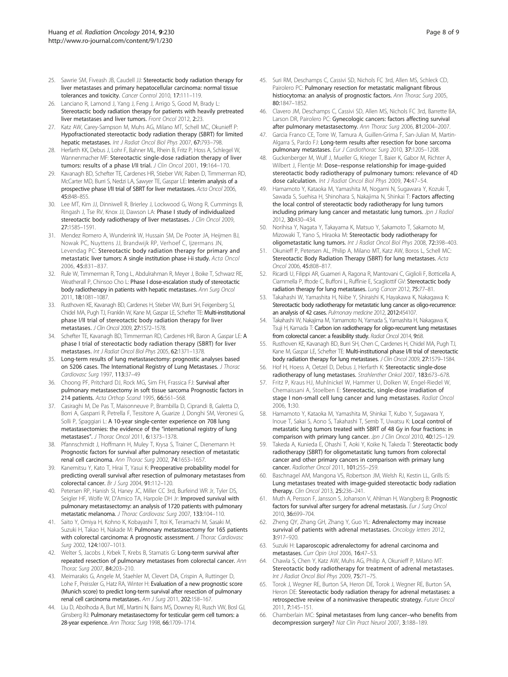- <span id="page-7-0"></span>25. Sawrie SM, Fiveash JB, Caudell JJ: Stereotactic body radiation therapy for liver metastases and primary hepatocellular carcinoma: normal tissue tolerances and toxicity. Cancer Control 2010, 17:111-119.
- 26. Lanciano R, Lamond J, Yang J, Feng J, Arrigo S, Good M, Brady L: Stereotactic body radiation therapy for patients with heavily pretreated liver metastases and liver tumors. Front Oncol 2012, 2:23.
- 27. Katz AW, Carey-Sampson M, Muhs AG, Milano MT, Schell MC, Okunieff P: Hypofractionated stereotactic body radiation therapy (SBRT) for limited hepatic metastases. Int J Radiat Oncol Biol Phys 2007, 67:793–798.
- 28. Herfarth KK, Debus J, Lohr F, Bahner ML, Rhein B, Fritz P, Hoss A, Schlegel W, Wannenmacher MF: Stereotactic single-dose radiation therapy of liver tumors: results of a phase I/II trial. J Clin Oncol 2001, 19:164–170.
- 29. Kavanagh BD, Schefter TE, Cardenes HR, Stieber VW, Raben D, Timmerman RD, McCarter MD, Burri S, Nedzi LA, Sawyer TE, Gaspar LE: Interim analysis of a prospective phase I/II trial of SBRT for liver metastases. Acta Oncol 2006, 45:848–855.
- 30. Lee MT, Kim JJ, Dinniwell R, Brierley J, Lockwood G, Wong R, Cummings B, Ringash J, Tse RV, Knox JJ, Dawson LA: Phase I study of individualized stereotactic body radiotherapy of liver metastases. J Clin Oncol 2009, 27:1585–1591.
- 31. Mendez Romero A, Wunderink W, Hussain SM, De Pooter JA, Heijmen BJ, Nowak PC, Nuyttens JJ, Brandwijk RP, Verhoef C, Ijzermans JN, Levendag PC: Stereotactic body radiation therapy for primary and metastatic liver tumors: A single institution phase i-ii study. Acta Oncol 2006, 45:831–837.
- 32. Rule W, Timmerman R, Tong L, Abdulrahman R, Meyer J, Boike T, Schwarz RE, Weatherall P, Chinsoo Cho L: Phase I dose-escalation study of stereotactic body radiotherapy in patients with hepatic metastases. Ann Surg Oncol 2011, 18:1081–1087.
- 33. Rusthoven KE, Kavanagh BD, Cardenes H, Stieber VW, Burri SH, Feigenberg SJ, Chidel MA, Pugh TJ, Franklin W, Kane M, Gaspar LE, Schefter TE: Multi-institutional phase I/II trial of stereotactic body radiation therapy for liver metastases. J Clin Oncol 2009, 27:1572–1578.
- 34. Schefter TE, Kavanagh BD, Timmerman RD, Cardenes HR, Baron A, Gaspar LE: A phase I trial of stereotactic body radiation therapy (SBRT) for liver metastases. Int J Radiat Oncol Biol Phys 2005, 62:1371–1378.
- 35. Long-term results of lung metastasectomy: prognostic analyses based on 5206 cases. The International Registry of Lung Metastases. J Thorac Cardiovasc Surg 1997, 113:37–49
- 36. Choong PF, Pritchard DJ, Rock MG, Sim FH, Frassica FJ: Survival after pulmonary metastasectomy in soft tissue sarcoma Prognostic factors in 214 patients. Acta Orthop Scand 1995, 66:561–568.
- 37. Casiraghi M, De Pas T, Maisonneuve P, Brambilla D, Ciprandi B, Galetta D, Borri A, Gasparri R, Petrella F, Tessitore A, Guarize J, Donghi SM, Veronesi G, Solli P, Spaggiari L: A 10-year single-center experience on 708 lung metastasectomies: the evidence of the "international registry of lung metastases". J Thorac Oncol 2011, 6:1373–1378.
- 38. Pfannschmidt J, Hoffmann H, Muley T, Krysa S, Trainer C, Dienemann H: Prognostic factors for survival after pulmonary resection of metastatic renal cell carcinoma. Ann Thorac Surg 2002, 74:1653–1657.
- 39. Kanemitsu Y, Kato T, Hirai T, Yasui K: Preoperative probability model for predicting overall survival after resection of pulmonary metastases from colorectal cancer. Br J Surg 2004, 91:112–120.
- 40. Petersen RP, Hanish SI, Haney JC, Miller CC 3rd, Burfeind WR Jr, Tyler DS, Seigler HF, Wolfe W, D'Amico TA, Harpole DH Jr: Improved survival with pulmonary metastasectomy: an analysis of 1720 patients with pulmonary metastatic melanoma. J Thorac Cardiovasc Surg 2007, 133:104–110.
- 41. Saito Y, Omiya H, Kohno K, Kobayashi T, Itoi K, Teramachi M, Sasaki M, Suzuki H, Takao H, Nakade M: Pulmonary metastasectomy for 165 patients with colorectal carcinoma: A prognostic assessment. J Thorac Cardiovasc Surg 2002, 124:1007–1013.
- 42. Welter S, Jacobs J, Krbek T, Krebs B, Stamatis G: Long-term survival after repeated resection of pulmonary metastases from colorectal cancer. Ann Thorac Surg 2007, 84:203–210.
- 43. Meimarakis G, Angele M, Staehler M, Clevert DA, Crispin A, Ruttinger D, Lohe F, Preissler G, Hatz RA, Winter H: Evaluation of a new prognostic score (Munich score) to predict long-term survival after resection of pulmonary renal cell carcinoma metastases. Am J Surg 2011, 202:158–167.
- 44. Liu D, Abolhoda A, Burt ME, Martini N, Bains MS, Downey RJ, Rusch VW, Bosl GJ, Ginsberg RJ: Pulmonary metastasectomy for testicular germ cell tumors: a 28-year experience. Ann Thorac Surg 1998, 66:1709–1714.
- 45. Suri RM, Deschamps C, Cassivi SD, Nichols FC 3rd, Allen MS, Schleck CD, Pairolero PC: Pulmonary resection for metastatic malignant fibrous histiocytoma: an analysis of prognostic factors. Ann Thorac Surg 2005, 80:1847–1852.
- 46. Clavero JM, Deschamps C, Cassivi SD, Allen MS, Nichols FC 3rd, Barrette BA, Larson DR, Pairolero PC: Gynecologic cancers: factors affecting survival after pulmonary metastasectomy. Ann Thorac Surg 2006, 81:2004–2007.
- Garcia Franco CE, Torre W, Tamura A, Guillen-Grima F, San-Julian M, Martin-Algarra S, Pardo FJ: Long-term results after resection for bone sarcoma pulmonary metastases. Eur J Cardiothorac Surg 2010, 37:1205–1208.
- 48. Guckenberger M, Wulf J, Mueller G, Krieger T, Baier K, Gabor M, Richter A, Wilbert J, Flentje M: Dose–response relationship for image-guided stereotactic body radiotherapy of pulmonary tumors: relevance of 4D dose calculation. Int J Radiat Oncol Biol Phys 2009, 74:47–54.
- 49. Hamamoto Y, Kataoka M, Yamashita M, Nogami N, Sugawara Y, Kozuki T, Sawada S, Suehisa H, Shinohara S, Nakajima N, Shinkai T: Factors affecting the local control of stereotactic body radiotherapy for lung tumors including primary lung cancer and metastatic lung tumors. Jpn J Radiol 2012, 30:430–434.
- 50. Norihisa Y, Nagata Y, Takayama K, Matsuo Y, Sakamoto T, Sakamoto M, Mizowaki T, Yano S, Hiraoka M: Stereotactic body radiotherapy for oligometastatic lung tumors. Int J Radiat Oncol Biol Phys 2008, 72:398–403.
- 51. Okunieff P, Petersen AL, Philip A, Milano MT, Katz AW, Boros L, Schell MC: Stereotactic Body Radiation Therapy (SBRT) for lung metastases. Acta Oncol 2006, 45:808–817.
- 52. Ricardi U, Filippi AR, Guarneri A, Ragona R, Mantovani C, Giglioli F, Botticella A, Ciammella P, Iftode C, Buffoni L, Ruffinie E, Scagliottif GV: Stereotactic body radiation therapy for lung metastases. Lung Cancer 2012, 75:77–81.
- 53. Takahashi W, Yamashita H, Niibe Y, Shiraishi K, Hayakawa K, Nakagawa K: Stereotactic body radiotherapy for metastatic lung cancer as oligo-recurrence: an analysis of 42 cases. Pulmonary medicine 2012, 2012:454107.
- 54. Takahashi W, Nakajima M, Yamamoto N, Yamada S, Yamashita H, Nakagawa K, Tsuji H, Kamada T: Carbon ion radiotherapy for oligo-recurrent lung metastases from colorectal cancer: a feasibility study. Radiat Oncol 2014, 9:68.
- 55. Rusthoven KE, Kavanagh BD, Burri SH, Chen C, Cardenes H, Chidel MA, Pugh TJ, Kane M, Gaspar LE, Schefter TE: Multi-institutional phase I/II trial of stereotactic body radiation therapy for lung metastases. J Clin Oncol 2009, 27:1579-1584.
- 56. Hof H, Hoess A, Oetzel D, Debus J, Herfarth K: Stereotactic single-dose radiotherapy of lung metastases. Strahlenther Onkol 2007, 183:673–678.
- 57. Fritz P, Kraus HJ, Muhlnickel W, Hammer U, Dolken W, Engel-Riedel W, Chemaissani A, Stoelben E: Stereotactic, single-dose irradiation of stage I non-small cell lung cancer and lung metastases. Radiat Oncol 2006, 1:30.
- 58. Hamamoto Y, Kataoka M, Yamashita M, Shinkai T, Kubo Y, Sugawara Y, Inoue T, Sakai S, Aono S, Takahashi T, Semb T, Uwatsu K: Local control of metastatic lung tumors treated with SBRT of 48 Gy in four fractions: in comparison with primary lung cancer. Jpn J Clin Oncol 2010, 40:125-129.
- 59. Takeda A, Kunieda E, Ohashi T, Aoki Y, Koike N, Takeda T: Stereotactic body radiotherapy (SBRT) for oligometastatic lung tumors from colorectal cancer and other primary cancers in comparison with primary lung cancer. Radiother Oncol 2011, 101:255–259.
- 60. Baschnagel AM, Mangona VS, Robertson JM, Welsh RJ, Kestin LL, Grills IS: Lung metastases treated with image-guided stereotactic body radiation therapy. Clin Oncol 2013, 25:236–241.
- 61. Muth A, Persson F, Jansson S, Johanson V, Ahlman H, Wangberg B: Prognostic factors for survival after surgery for adrenal metastasis. Eur J Surg Oncol 2010, 36:699–704.
- 62. Zheng QY, Zhang GH, Zhang Y, Guo YL: Adrenalectomy may increase survival of patients with adrenal metastases. Oncology letters 2012, 3:917–920.
- 63. Suzuki H: Laparoscopic adrenalectomy for adrenal carcinoma and metastases. Curr Opin Urol 2006, 16:47–53.
- 64. Chawla S, Chen Y, Katz AW, Muhs AG, Philip A, Okunieff P, Milano MT: Stereotactic body radiotherapy for treatment of adrenal metastases. Int J Radiat Oncol Biol Phys 2009, 75:71–75.
- 65. Torok J, Wegner RE, Burton SA, Heron DE, Torok J, Wegner RE, Burton SA, Heron DE: Stereotactic body radiation therapy for adrenal metastases: a retrospective review of a noninvasive therapeutic strategy. Future Oncol 2011, 7:145–151.
- 66. Chamberlain MC: Spinal metastases from lung cancer–who benefits from decompression surgery? Nat Clin Pract Neurol 2007, 3:188–189.